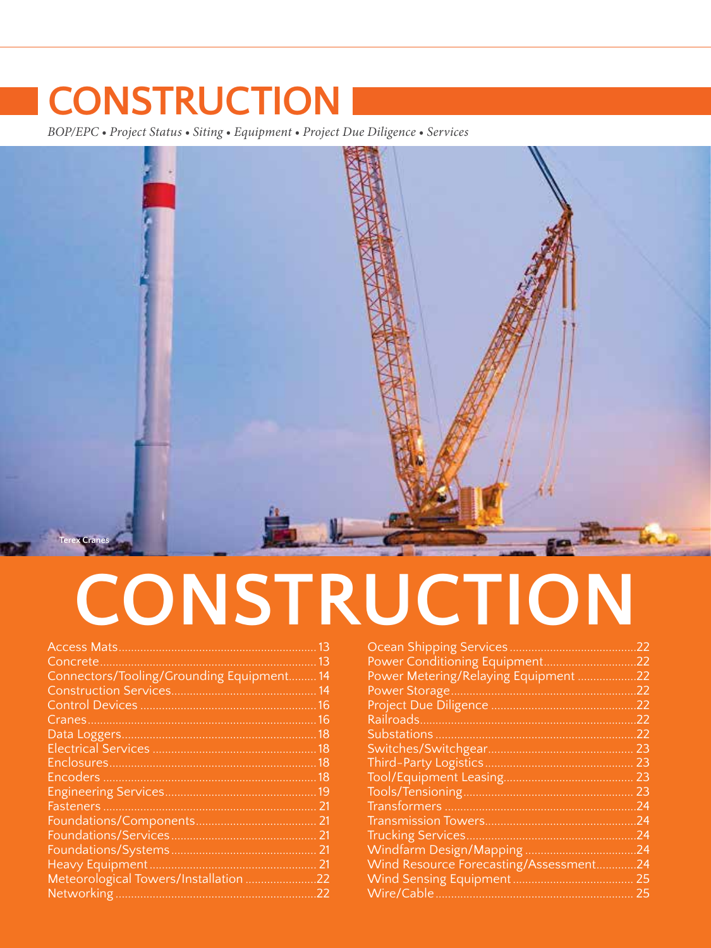*BOP/EPC • Project Status • Siting • Equipment • Project Due Diligence • Services*



# **CONSTRUCTION**

|                                         | 13 |
|-----------------------------------------|----|
| Concrete                                | 13 |
| Connectors/Tooling/Grounding Equipment. | 14 |
|                                         | 14 |
|                                         | 16 |
| Cranes                                  | 16 |
|                                         | 18 |
|                                         | 18 |
|                                         | 18 |
|                                         | 18 |
|                                         | 19 |
| Fasteners.                              | 21 |
| Foundations/Components.                 | 21 |
|                                         | 21 |
|                                         | 21 |
| Heavy Equipment.                        | 21 |
| Meteorological Towers/Installation      | 22 |
| Networking                              | 22 |

| <b>Ocean Shipping Services</b>       | 22  |
|--------------------------------------|-----|
| Power Conditioning Equipment.        | 22  |
| Power Metering/Relaying Equipment    | 22  |
| Power Storage                        | 22  |
|                                      | 22  |
|                                      | .22 |
|                                      | 22  |
|                                      | 23  |
| Third-Party Logistics.               | 23  |
|                                      | 23  |
|                                      | 23  |
|                                      | 24  |
|                                      | -24 |
| <b>Trucking Services.</b>            | 24  |
| Windfarm Design/Mapping              | 24  |
| Wind Resource Forecasting/Assessment | 24  |
| Wind Sensing Equipment               | 25  |
| Wire/Cable                           | 25  |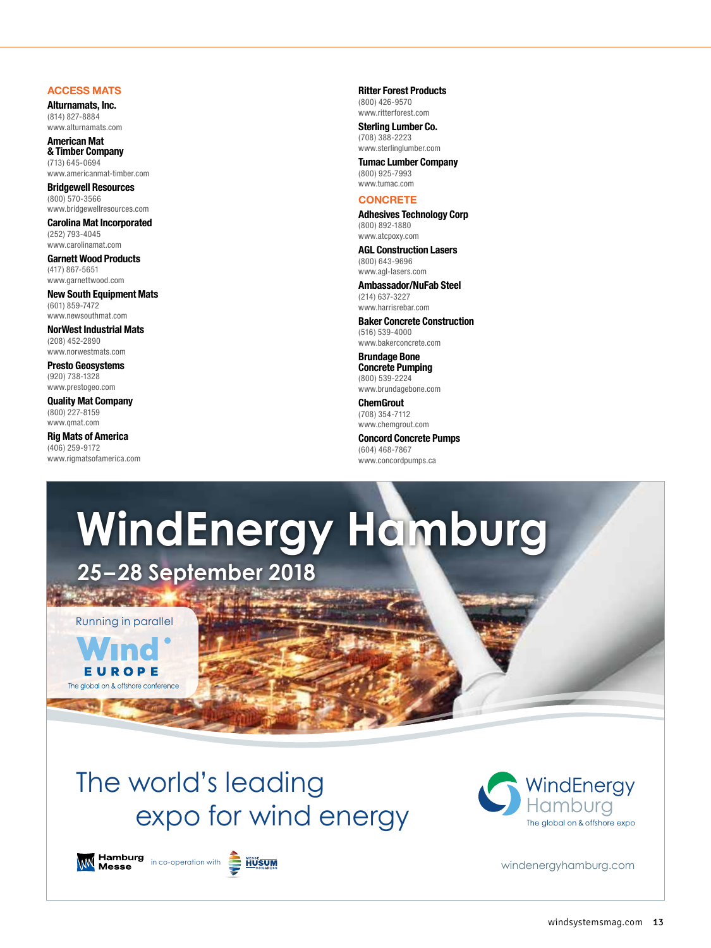# <span id="page-1-0"></span>**ACCESS MATS**

**Alturnamats, Inc.** (814) 827-8884 [www.alturnamats.com](http://www.alturnamats.com)

**American Mat & Timber Company** (713) 645-0694 [www.americanmat-timber.com](http://www.americanmat-timber.com)

**Bridgewell Resources** (800) 570-3566 [www.bridgewellresources.com](http://www.bridgewellresources.com)

**Carolina Mat Incorporated** (252) 793-4045 [www.carolinamat.com](http://www.carolinamat.com)

**Garnett Wood Products** (417) 867-5651 [www.garnettwood.com](http://www.garnettwood.com)

**New South Equipment Mats** (601) 859-7472 [www.newsouthmat.com](http://www.newsouthmat.com)

**NorWest Industrial Mats** (208) 452-2890 [www.norwestmats.com](http://www.norwestmats.com)

**Presto Geosystems** (920) 738-1328 [www.prestogeo.com](http://www.prestogeo.com)

**Quality Mat Company** (800) 227-8159 [www.qmat.com](http://www.qmat.com)

**Rig Mats of America** (406) 259-9172 [www.rigmatsofamerica.com](http://www.rigmatsofamerica.com) **Ritter Forest Products** (800) 426-9570 [www.ritterforest.com](http://www.ritterforest.com)

**Sterling Lumber Co.** (708) 388-2223 [www.sterlinglumber.com](http://www.sterlinglumber.com)

**Tumac Lumber Company** (800) 925-7993 [www.tumac.com](http://www.tumac.com)

# **CONCRETE**

**Adhesives Technology Corp** (800) 892-1880 [www.atcpoxy.com](http://www.atcpoxy.com)

**AGL Construction Lasers** (800) 643-9696 [www.agl-lasers.com](http://www.agl-lasers.com)

**Ambassador/NuFab Steel** (214) 637-3227 [www.harrisrebar.com](http://www.harrisrebar.com)

**Baker Concrete Construction** (516) 539-4000 [www.bakerconcrete.com](http://www.bakerconcrete.com)

**Brundage Bone Concrete Pumping** (800) 539-2224 [www.brundagebone.com](http://www.brundagebone.com)

**ChemGrout** (708) 354-7112 [www.chemgrout.com](http://www.chemgrout.com)

**Concord Concrete Pumps** (604) 468-7867 [www.concordpumps.ca](http://www.concordpumps.ca)

# **WindEnergy Hamburg**

**25–28 September 2018**

Running in parallel

**Long Tarry Co.** 



# The world's leading expo for wind energy



[windenergyhamburg.com](http://windenergyhamburg.com)





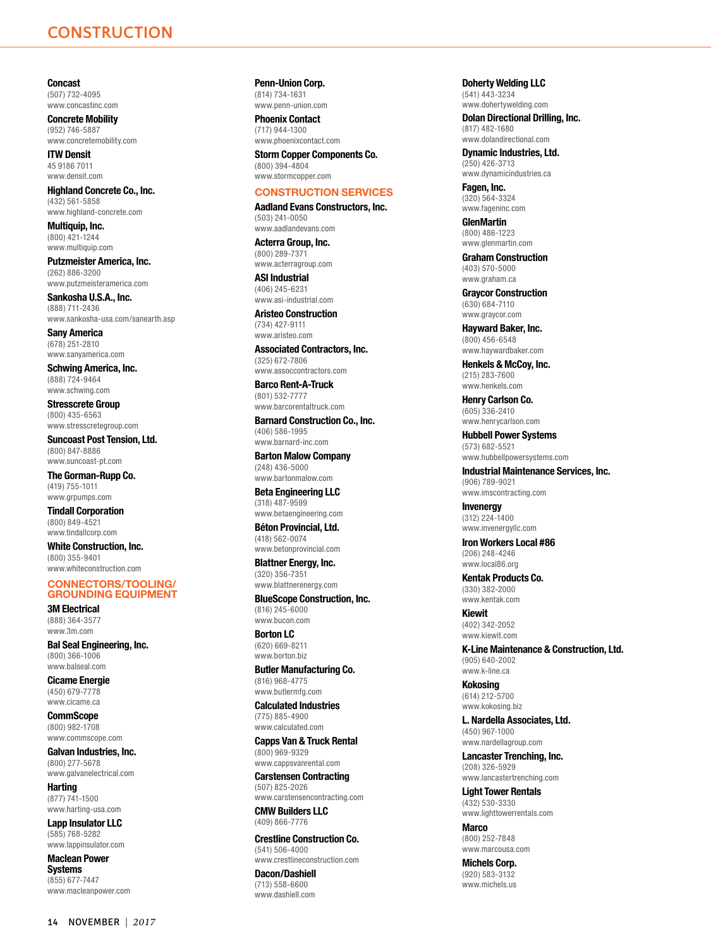<span id="page-2-0"></span>**Concast** (507) 732-4095 [www.concastinc.com](http://www.concastinc.com)

**Concrete Mobility** (952) 746-5887 [www.concretemobility.com](http://www.concretemobility.com)

**ITW Densit** 45 9186 7011 [www.densit.com](http://www.densit.com)

**Highland Concrete Co., Inc.** (432) 561-5858 [www.highland-concrete.com](http://www.highland-concrete.com)

**Multiquip, Inc.** (800) 421-1244 [www.multiquip.com](http://www.multiquip.com)

**Putzmeister America, Inc.** (262) 886-3200 [www.putzmeisteramerica.com](http://www.putzmeisteramerica.com)

**Sankosha U.S.A., Inc.** (888) 711-2436 [www.sankosha-usa.com/sanearth.asp](http://www.sankosha-usa.com/sanearth.asp)

**Sany America** (678) 251-2810 [www.sanyamerica.com](http://www.sanyamerica.com)

**Schwing America, Inc.** (888) 724-9464 [www.schwing.com](http://www.schwing.com)

**Stresscrete Group** (800) 435-6563 [www.stresscretegroup.com](http://www.stresscretegroup.com)

**Suncoast Post Tension, Ltd.** (800) 847-8886 [www.suncoast-pt.com](http://www.suncoast-pt.com)

**The Gorman-Rupp Co.** (419) 755-1011 [www.grpumps.com](http://www.grpumps.com)

**Tindall Corporation** (800) 849-4521 [www.tindallcorp.com](http://www.tindallcorp.com)

**White Construction, Inc.** (800) 355-9401 [www.whiteconstruction.com](http://www.whiteconstruction.com)

## **CONNECTORS/TOOLING/ GROUNDING EQUIPMENT**

**3M Electrical** (888) 364-3577 [www.3m.com](http://www.3m.com)

**Bal Seal Engineering, Inc.** (800) 366-1006 [www.balseal.com](http://www.balseal.com)

**Cicame Energie** (450) 679-7778 [www.cicame.ca](http://www.cicame.ca)

**CommScope** (800) 982-1708 [www.commscope.com](http://www.commscope.com)

**Galvan Industries, Inc.** (800) 277-5678 [www.galvanelectrical.com](http://www.galvanelectrical.com)

**Harting** (877) 741-1500 [www.harting-usa.com](http://www.harting-usa.com)

**Lapp Insulator LLC** (585) 768-5282 [www.lappinsulator.com](http://www.lappinsulator.com)

**Maclean Power Systems** (855) 677-7447 [www.macleanpower.com](http://www.macleanpower.com) **Penn-Union Corp.**

(814) 734-1631 [www.penn-union.com](http://www.penn-union.com)

**Phoenix Contact** (717) 944-1300 [www.phoenixcontact.com](http://www.phoenixcontact.com)

**Storm Copper Components Co.** (800) 394-4804 [www.stormcopper.com](http://www.stormcopper.com)

# **CONSTRUCTION SERVICES**

**Aadland Evans Constructors, Inc.** (503) 241-0050 [www.aadlandevans.com](http://www.aadlandevans.com)

**Acterra Group, Inc.** (800) 289-7371 [www.acterragroup.com](http://www.acterragroup.com)

**ASI Industrial** (406) 245-6231 [www.asi-industrial.com](http://www.asi-industrial.com)

**Aristeo Construction** (734) 427-9111 [www.aristeo.com](http://www.aristeo.com)

**Associated Contractors, Inc.** (325) 672-7806 [www.assoccontractors.com](http://www.assoccontractors.com)

**Barco Rent-A-Truck** (801) 532-7777 [www.barcorentaltruck.com](http://www.barcorentaltruck.com)

**Barnard Construction Co., Inc.** (406) 586-1995 [www.barnard-inc.com](http://www.barnard-inc.com)

**Barton Malow Company** (248) 436-5000 [www.bartonmalow.com](http://www.bartonmalow.com)

**Beta Engineering LLC** (318) 487-9599 [www.betaengineering.com](http://www.betaengineering.com)

**Béton Provincial, Ltd.** (418) 562-0074 [www.betonprovincial.com](http://www.betonprovincial.com)

**Blattner Energy, Inc.** (320) 356-7351 [www.blattnerenergy.com](http://www.blattnerenergy.com)

**BlueScope Construction, Inc.** (816) 245-6000 [www.bucon.com](http://www.bucon.com)

**Borton LC** (620) 669-8211 [www.borton.biz](http://www.borton.biz)

**Butler Manufacturing Co.** (816) 968-4775 [www.butlermfg.com](http://www.butlermfg.com)

**Calculated Industries** (775) 885-4900 [www.calculated.com](http://www.calculated.com)

**Capps Van & Truck Rental** (800) 969-9329 [www.cappsvanrental.com](http://www.cappsvanrental.com)

**Carstensen Contracting** (507) 825-2026 [www.carstensencontracting.com](http://www.carstensencontracting.com)

**CMW Builders LLC** (409) 866-7776

**Crestline Construction Co.** (541) 506-4000 [www.crestlineconstruction.com](http://www.crestlineconstruction.com)

**Dacon/Dashiell** (713) 558-6600 [www.dashiell.com](http://www.dashiell.com)

**Doherty Welding LLC** (541) 443-3234 [www.dohertywelding.com](http://www.dohertywelding.com)

**Dolan Directional Drilling, Inc.** (817) 482-1680 [www.dolandirectional.com](http://www.dolandirectional.com)

**Dynamic Industries, Ltd.** (250) 426-3713 [www.dynamicindustries.ca](http://www.dynamicindustries.ca)

**Fagen, Inc.** (320) 564-3324 [www.fageninc.com](http://www.fageninc.com)

**GlenMartin** (800) 486-1223 [www.glenmartin.com](http://www.glenmartin.com)

**Graham Construction** (403) 570-5000 [www.graham.ca](http://www.graham.ca)

**Graycor Construction** (630) 684-7110

[www.graycor.com](http://www.graycor.com) **Hayward Baker, Inc.** (800) 456-6548 [www.haywardbaker.com](http://www.haywardbaker.com)

**Henkels & McCoy, Inc.** (215) 283-7600 [www.henkels.com](http://www.henkels.com)

**Henry Carlson Co.** (605) 336-2410 [www.henrycarlson.com](http://www.henrycarlson.com)

**Hubbell Power Systems** (573) 682-5521 [www.hubbellpowersystems.com](http://www.hubbellpowersystems.com)

**Industrial Maintenance Services, Inc.** (906) 789-9021 [www.imscontracting.com](http://www.imscontracting.com)

**Invenergy** (312) 224-1400 [www.invenergyllc.com](http://www.invenergyllc.com)

**Iron Workers Local #86** (206) 248-4246 [www.local86.org](http://www.local86.org)

**Kentak Products Co.** (330) 382-2000 [www.kentak.com](http://www.kentak.com)

**Kiewit** (402) 342-2052 [www.kiewit.com](http://www.kiewit.com)

**K-Line Maintenance & Construction, Ltd.** (905) 640-2002 [www.k-line.ca](http://www.k-line.ca)

**Kokosing** (614) 212-5700 [www.kokosing.biz](http://www.kokosing.biz)

**L. Nardella Associates, Ltd.** (450) 967-1000 [www.nardellagroup.com](http://www.nardellagroup.com)

**Lancaster Trenching, Inc.** (208) 326-5929 [www.lancastertrenching.com](http://www.lancastertrenching.com)

**Light Tower Rentals** (432) 530-3330 [www.lighttowerrentals.com](http://www.lighttowerrentals.com)

**Marco** (800) 252-7848 [www.marcousa.com](http://www.marcousa.com)

**Michels Corp.** (920) 583-3132 [www.michels.us](http://www.michels.us)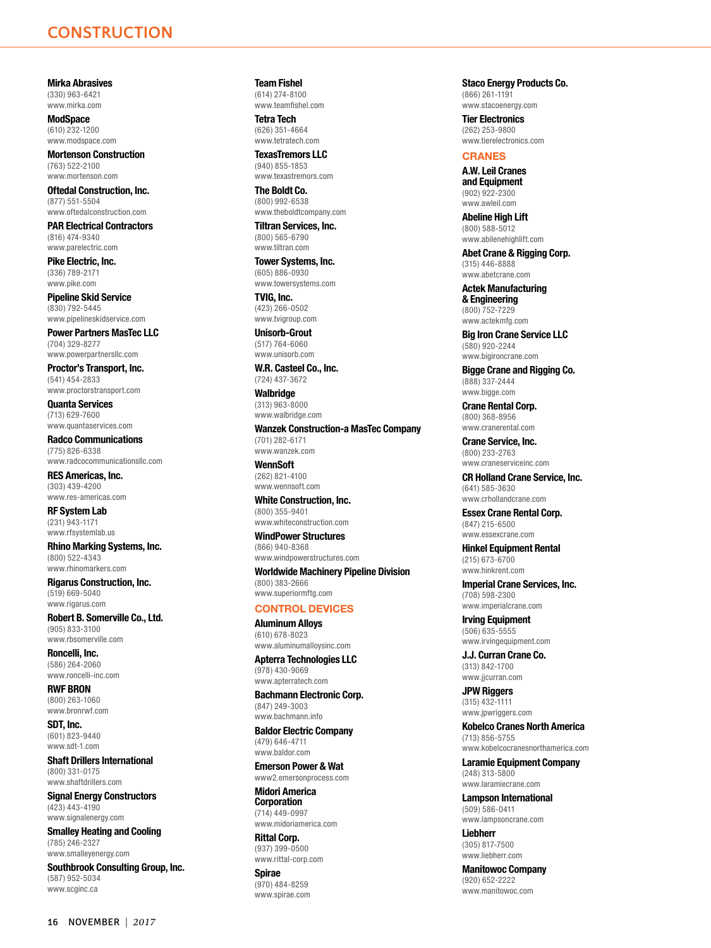<span id="page-3-0"></span>**Mirka Abrasives** (330) 963-6421 [www.mirka.com](http://www.mirka.com)

**ModSpace** (610) 232-1200 [www.modspace.com](http://www.modspace.com)

**Mortenson Construction** (763) 522-2100 [www.mortenson.com](http://www.mortenson.com)

**Oftedal Construction, Inc.** (877) 551-5504 [www.oftedalconstruction.com](http://www.oftedalconstruction.com)

**PAR Electrical Contractors** (816) 474-9340 [www.parelectric.com](http://www.parelectric.com)

**Pike Electric, Inc.** (336) 789-2171 [www.pike.com](http://www.pike.com)

**Pipeline Skid Service** (830) 792-5445 [www.pipelineskidservice.com](http://www.pipelineskidservice.com)

**Power Partners MasTec LLC** (704) 329-8277 [www.powerpartnersllc.com](http://www.powerpartnersllc.com)

**Proctor's Transport, Inc.** (541) 454-2833 [www.proctorstransport.com](http://www.proctorstransport.com)

**Quanta Services** (713) 629-7600 [www.quantaservices.com](http://www.quantaservices.com)

**Radco Communications** (775) 826-6338 [www.radcocommunicationsllc.com](http://www.radcocommunicationsllc.com)

**RES Americas, Inc.** (303) 439-4200 [www.res-americas.com](http://www.res-americas.com)

**RF System Lab** (231) 943-1171 [www.rfsystemlab.us](http://www.rfsystemlab.us)

**Rhino Marking Systems, Inc.** (800) 522-4343 [www.rhinomarkers.com](http://www.rhinomarkers.com)

**Rigarus Construction, Inc.** (519) 669-5040 [www.rigarus.com](http://www.rigarus.com)

**Robert B. Somerville Co., Ltd.** (905) 833-3100 [www.rbsomerville.com](http://www.rbsomerville.com)

**Roncelli, Inc.** (586) 264-2060 [www.roncelli-inc.com](http://www.roncelli-inc.com)

**RWF BRON** (800) 263-1060 [www.bronrwf.com](http://www.bronrwf.com)

**SDT, Inc.** (601) 823-9440 [www.sdt-1.com](http://www.sdt-1.com)

**Shaft Drillers International** (800) 331-0175 [www.shaftdrillers.com](http://www.shaftdrillers.com)

**Signal Energy Constructors** (423) 443-4190 [www.signalenergy.com](http://www.signalenergy.com)

**Smalley Heating and Cooling** (785) 246-2327 [www.smalleyenergy.com](http://www.smalleyenergy.com)

**Southbrook Consulting Group, Inc.** (587) 952-5034 [www.scginc.ca](http://www.scginc.ca)

**Team Fishel** (614) 274-8100 [www.teamfishel.com](http://www.teamfishel.com)

**Tetra Tech** (626) 351-4664 [www.tetratech.com](http://www.tetratech.com)

**TexasTremors LLC** (940) 855-1853 [www.texastremors.com](http://www.texastremors.com)

**The Boldt Co.** (800) 992-6538 [www.theboldtcompany.com](http://www.theboldtcompany.com)

**Tiltran Services, Inc.** (800) 565-6790 [www.tiltran.com](http://www.tiltran.com)

**Tower Systems, Inc.** (605) 886-0930 [www.towersystems.com](http://www.towersystems.com)

**TVIG, Inc.** (423) 266-0502 [www.tvigroup.com](http://www.tvigroup.com)

**Unisorb-Grout** (517) 764-6060 [www.unisorb.com](http://www.unisorb.com)

**W.R. Casteel Co., Inc.** (724) 437-3672

**Walbridge** (313) 963-8000 [www.walbridge.com](http://www.walbridge.com)

**Wanzek Construction-a MasTec Company** (701) 282-6171 [www.wanzek.com](http://www.wanzek.com) **WennSoft**

(262) 821-4100 [www.wennsoft.com](http://www.wennsoft.com)

**White Construction, Inc.** (800) 355-9401 [www.whiteconstruction.com](http://www.whiteconstruction.com)

**WindPower Structures** (866) 940-8368 [www.windpowerstructures.com](http://www.windpowerstructures.com)

**Worldwide Machinery Pipeline Division** (800) 383-2666 [www.superiormftg.com](http://www.superiormftg.com)

# **CONTROL DEVICES**

**Aluminum Alloys** (610) 678-8023 [www.aluminumalloysinc.com](http://www.aluminumalloysinc.com)

**Apterra Technologies LLC** (978) 430-9069 [www.apterratech.com](http://www.apterratech.com)

**Bachmann Electronic Corp.** (847) 249-3003 [www.bachmann.info](http://www.bachmann.info)

**Baldor Electric Company** (479) 646-4711 [www.baldor.com](http://www.baldor.com)

**Emerson Power & Wat** www2.emersonprocess.com

**Midori America Corporation** (714) 449-0997 [www.midoriamerica.com](http://www.midoriamerica.com)

**Rittal Corp.** (937) 399-0500 [www.rittal-corp.com](http://www.rittal-corp.com)

**Spirae** (970) 484-8259 [www.spirae.com](http://www.spirae.com)

**Staco Energy Products Co.** (866) 261-1191 [www.stacoenergy.com](http://www.stacoenergy.com)

**Tier Electronics** (262) 253-9800 [www.tierelectronics.com](http://www.tierelectronics.com)

# **CRANES**

**A.W. Leil Cranes and Equipment** (902) 922-2300 [www.awleil.com](http://www.awleil.com)

**Abeline High Lift** (800) 588-5012 [www.abilenehighlift.com](http://www.abilenehighlift.com)

**Abet Crane & Rigging Corp.** (315) 446-8888 [www.abetcrane.com](http://www.abetcrane.com)

**Actek Manufacturing & Engineering** (800) 752-7229 [www.actekmfg.com](http://www.actekmfg.com)

**Big Iron Crane Service LLC** (580) 920-2244 [www.bigironcrane.com](http://www.bigironcrane.com)

**Bigge Crane and Rigging Co.** (888) 337-2444 [www.bigge.com](http://www.bigge.com)

**Crane Rental Corp.** (800) 368-8956 [www.cranerental.com](http://www.cranerental.com)

**Crane Service, Inc.** (800) 233-2763 [www.craneserviceinc.com](http://www.craneserviceinc.com)

**CR Holland Crane Service, Inc.** (641) 585-3630 [www.crhollandcrane.com](http://www.crhollandcrane.com)

**Essex Crane Rental Corp.** (847) 215-6500 [www.essexcrane.com](http://www.essexcrane.com)

**Hinkel Equipment Rental**

(215) 673-6700 [www.hinkrent.com](http://www.hinkrent.com)

**Imperial Crane Services, Inc.** (708) 598-2300

[www.imperialcrane.com](http://www.imperialcrane.com)

**Irving Equipment** (506) 635-5555 [www.irvingequipment.com](http://www.irvingequipment.com)

**J.J. Curran Crane Co.**

(313) 842-1700 [www.jjcurran.com](http://www.jjcurran.com)

**JPW Riggers** (315) 432-1111 [www.jpwriggers.com](http://www.jpwriggers.com)

**Kobelco Cranes North America** (713) 856-5755

[www.kobelcocranesnorthamerica.com](http://www.kobelcocranesnorthamerica.com) **Laramie Equipment Company**

(248) 313-5800 [www.laramiecrane.com](http://www.laramiecrane.com)

**Lampson International** (509) 586-0411 [www.lampsoncrane.com](http://www.lampsoncrane.com)

**Liebherr** (305) 817-7500 [www.liebherr.com](http://www.liebherr.com)

**Manitowoc Company** (920) 652-2222 [www.manitowoc.com](http://www.manitowoc.com)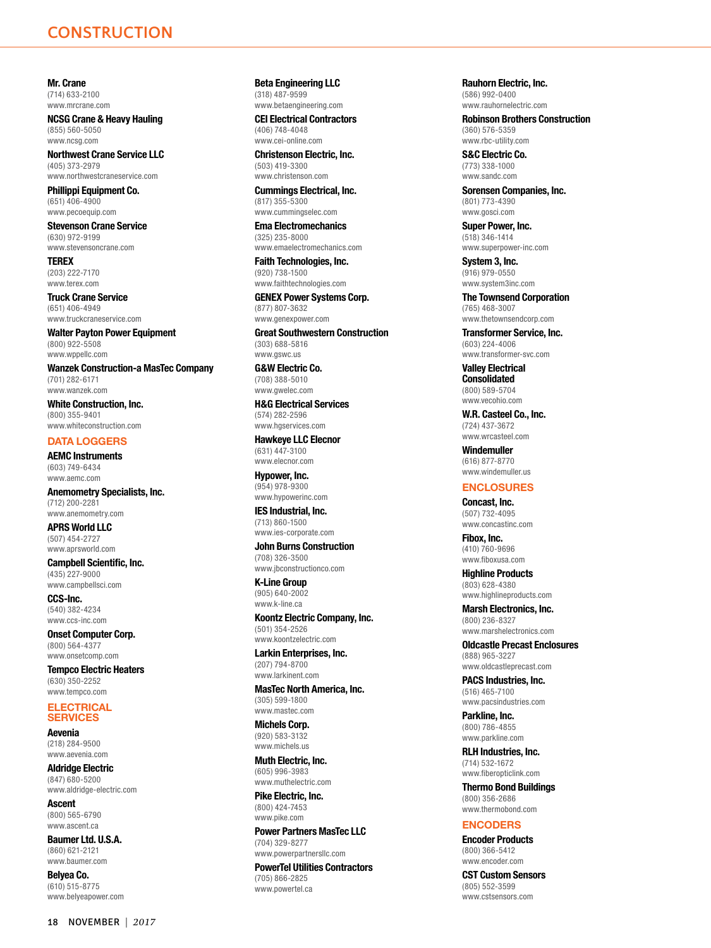<span id="page-4-0"></span>**Mr. Crane** (714) 633-2100 [www.mrcrane.com](http://www.mrcrane.com)

**NCSG Crane & Heavy Hauling** (855) 560-5050 [www.ncsg.com](http://www.ncsg.com)

**Northwest Crane Service LLC** (405) 373-2979 [www.northwestcraneservice.com](http://www.northwestcraneservice.com)

**Phillippi Equipment Co.** (651) 406-4900 [www.pecoequip.com](http://www.pecoequip.com)

**Stevenson Crane Service** (630) 972-9199 [www.stevensoncrane.com](http://www.stevensoncrane.com)

**TEREX** (203) 222-7170 [www.terex.com](http://www.terex.com)

**Truck Crane Service** (651) 406-4949 [www.truckcraneservice.com](http://www.truckcraneservice.com)

**Walter Payton Power Equipment** (800) 922-5508 [www.wppellc.com](http://www.wppellc.com)

**Wanzek Construction-a MasTec Company** (701) 282-6171 [www.wanzek.com](http://www.wanzek.com)

**White Construction, Inc.** (800) 355-9401 [www.whiteconstruction.com](http://www.whiteconstruction.com)

# **DATA LOGGERS**

**AEMC Instruments** (603) 749-6434 [www.aemc.com](http://www.aemc.com)

**Anemometry Specialists, Inc.** (712) 200-2281 [www.anemometry.com](http://www.anemometry.com)

**APRS World LLC** (507) 454-2727 [www.aprsworld.com](http://www.aprsworld.com)

**Campbell Scientific, Inc.** (435) 227-9000 [www.campbellsci.com](http://www.campbellsci.com)

**CCS-Inc.** (540) 382-4234 [www.ccs-inc.com](http://www.ccs-inc.com)

**Onset Computer Corp.** (800) 564-4377 [www.onsetcomp.com](http://www.onsetcomp.com)

**Tempco Electric Heaters** (630) 350-2252 [www.tempco.com](http://www.tempco.com)

## **ELECTRICAL SERVICES**

**Aevenia** (218) 284-9500 [www.aevenia.com](http://www.aevenia.com)

**Aldridge Electric** (847) 680-5200 [www.aldridge-electric.com](http://www.aldridge-electric.com)

**Ascent** (800) 565-6790 [www.ascent.ca](http://www.ascent.ca)

**Baumer Ltd. U.S.A.** (860) 621-2121 [www.baumer.com](http://www.baumer.com)

**Belyea Co.** (610) 515-8775 [www.belyeapower.com](http://www.belyeapower.com) **Beta Engineering LLC** (318) 487-9599 [www.betaengineering.com](http://www.betaengineering.com)

**CEI Electrical Contractors** (406) 748-4048 [www.cei-online.com](http://www.cei-online.com)

**Christenson Electric, Inc.** (503) 419-3300 [www.christenson.com](http://www.christenson.com)

**Cummings Electrical, Inc.** (817) 355-5300 [www.cummingselec.com](http://www.cummingselec.com)

**Ema Electromechanics** (325) 235-8000 [www.emaelectromechanics.com](http://www.emaelectromechanics.com)

**Faith Technologies, Inc.** (920) 738-1500 [www.faithtechnologies.com](http://www.faithtechnologies.com)

**GENEX Power Systems Corp.** (877) 807-3632 [www.genexpower.com](http://www.genexpower.com)

**Great Southwestern Construction** (303) 688-5816 [www.gswc.us](http://www.gswc.us)

**G&W Electric Co.** (708) 388-5010 [www.gwelec.com](http://www.gwelec.com)

**H&G Electrical Services** (574) 282-2596 [www.hgservices.com](http://www.hgservices.com)

**Hawkeye LLC Elecnor** (631) 447-3100 [www.elecnor.com](http://www.elecnor.com)

**Hypower, Inc.** (954) 978-9300 [www.hypowerinc.com](http://www.hypowerinc.com)

**IES Industrial, Inc.** (713) 860-1500 [www.ies-corporate.com](http://www.ies-corporate.com)

**John Burns Construction** (708) 326-3500 [www.jbconstructionco.com](http://www.jbconstructionco.com)

**K-Line Group** (905) 640-2002 [www.k-line.ca](http://www.k-line.ca)

**Koontz Electric Company, Inc.** (501) 354-2526 [www.koontzelectric.com](http://www.koontzelectric.com)

**Larkin Enterprises, Inc.** (207) 794-8700 [www.larkinent.com](http://www.larkinent.com)

**MasTec North America, Inc.** (305) 599-1800 [www.mastec.com](http://www.mastec.com)

**Michels Corp.** (920) 583-3132 [www.michels.us](http://www.michels.us)

**Muth Electric, Inc.** (605) 996-3983 [www.muthelectric.com](http://www.muthelectric.com)

**Pike Electric, Inc.** (800) 424-7453 [www.pike.com](http://www.pike.com)

**Power Partners MasTec LLC** (704) 329-8277 [www.powerpartnersllc.com](http://www.powerpartnersllc.com)

**PowerTel Utilities Contractors** (705) 866-2825 [www.powertel.ca](http://www.powertel.ca)

**Rauhorn Electric, Inc.** (586) 992-0400 [www.rauhornelectric.com](http://www.rauhornelectric.com)

**Robinson Brothers Construction** (360) 576-5359

[www.rbc-utility.com](http://www.rbc-utility.com)

**S&C Electric Co.** (773) 338-1000 [www.sandc.com](http://www.sandc.com)

**Sorensen Companies, Inc.** (801) 773-4390 [www.gosci.com](http://www.gosci.com)

**Super Power, Inc.** (518) 346-1414 [www.superpower-inc.com](http://www.superpower-inc.com)

**System 3, Inc.** (916) 979-0550 [www.system3inc.com](http://www.system3inc.com)

**The Townsend Corporation** (765) 468-3007 [www.thetownsendcorp.com](http://www.thetownsendcorp.com)

**Transformer Service, Inc.** (603) 224-4006

[www.transformer-svc.com](http://www.transformer-svc.com) **Valley Electrical** 

**Consolidated** (800) 589-5704 [www.vecohio.com](http://www.vecohio.com)

**W.R. Casteel Co., Inc.** (724) 437-3672 [www.wrcasteel.com](http://www.wrcasteel.com)

**Windemuller** (616) 877-8770 [www.windemuller.us](http://www.windemuller.us)

### **ENCLOSURES**

**Concast, Inc.** (507) 732-4095 [www.concastinc.com](http://www.concastinc.com)

**Fibox, Inc.** (410) 760-9696 [www.fiboxusa.com](http://www.fiboxusa.com)

**Highline Products** (803) 628-4380 [www.highlineproducts.com](http://www.highlineproducts.com)

**Marsh Electronics, Inc.** (800) 236-8327 [www.marshelectronics.com](http://www.marshelectronics.com)

**Oldcastle Precast Enclosures** (888) 965-3227 [www.oldcastleprecast.com](http://www.oldcastleprecast.com)

**PACS Industries, Inc.** (516) 465-7100 [www.pacsindustries.com](http://www.pacsindustries.com)

**Parkline, Inc.** (800) 786-4855 [www.parkline.com](http://www.parkline.com)

**RLH Industries, Inc.** (714) 532-1672 [www.fiberopticlink.com](http://www.fiberopticlink.com)

**Thermo Bond Buildings** (800) 356-2686 [www.thermobond.com](http://www.thermobond.com)

# **ENCODERS**

**Encoder Products** (800) 366-5412 [www.encoder.com](http://www.encoder.com)

**CST Custom Sensors** (805) 552-3599 [www.cstsensors.com](http://www.cstsensors.com)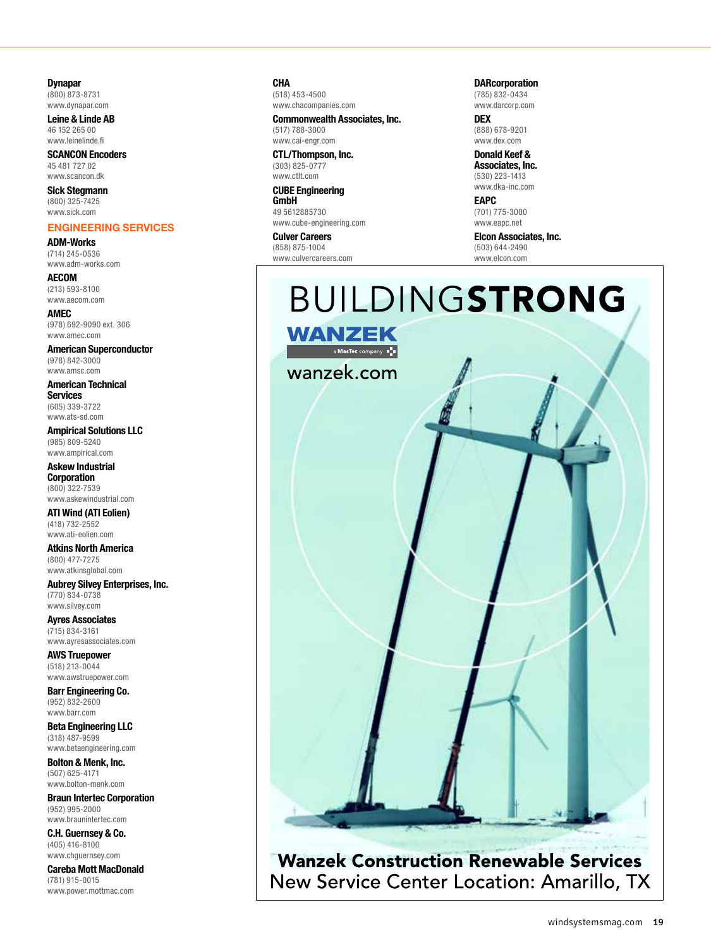# <span id="page-5-0"></span>**Dynapar**

(800) 873-8731 [www.dynapar.com](http://www.dynapar.com)

**Leine & Linde AB** 46 152 265 00 [www.leinelinde.fi](http://www.leinelinde.fi)

**SCANCON Encoders** 45 481 727 02 [www.scancon.dk](http://www.scancon.dk)

**Sick Stegmann** (800) 325-7425 [www.sick.com](http://www.sick.com)

# **ENGINEERING SERVICES**

**ADM-Works** (714) 245-0536 [www.adm-works.com](http://www.adm-works.com)

**AECOM** (213) 593-8100 [www.aecom.com](http://www.aecom.com)

**AMEC** (978) 692-9090 ext. 306 [www.amec.com](http://www.amec.com)

**American Superconductor** (978) 842-3000 [www.amsc.com](http://www.amsc.com)

**American Technical Services**

(605) 339-3722 [www.ats-sd.com](http://www.ats-sd.com)

**Ampirical Solutions LLC** (985) 809-5240 [www.ampirical.com](http://www.ampirical.com)

**Askew Industrial Corporation** (800) 322-7539 [www.askewindustrial.com](http://www.askewindustrial.com)

**ATI Wind (ATI Eolien)** (418) 732-2552 [www.ati-eolien.com](http://www.ati-eolien.com)

**Atkins North America** (800) 477-7275 [www.atkinsglobal.com](http://www.atkinsglobal.com)

**Aubrey Silvey Enterprises, Inc.** (770) 834-0738 [www.silvey.com](http://www.silvey.com)

**Ayres Associates** (715) 834-3161 [www.ayresassociates.com](http://www.ayresassociates.com)

**AWS Truepower** (518) 213-0044 [www.awstruepower.com](http://www.awstruepower.com)

**Barr Engineering Co.** (952) 832-2600 [www.barr.com](http://www.barr.com)

**Beta Engineering LLC** (318) 487-9599 [www.betaengineering.com](http://www.betaengineering.com)

**Bolton & Menk, Inc.** (507) 625-4171 [www.bolton-menk.com](http://www.bolton-menk.com)

**Braun Intertec Corporation** (952) 995-2000 [www.braunintertec.com](http://www.braunintertec.com)

**C.H. Guernsey & Co.** (405) 416-8100 [www.chguernsey.com](http://www.chguernsey.com)

**Careba Mott MacDonald** (781) 915-0015 [www.power.mottmac.com](http://www.power.mottmac.com)

**CHA**

(518) 453-4500 [www.chacompanies.com](http://www.chacompanies.com)

**Commonwealth Associates, Inc.** (517) 788-3000 [www.cai-engr.com](http://www.cai-engr.com)

**CTL/Thompson, Inc.** (303) 825-0777 [www.ctlt.com](http://www.ctlt.com)

**CUBE Engineering GmbH**

49 5612885730 [www.cube-engineering.com](http://www.cube-engineering.com)

**Culver Careers** (858) 875-1004 [www.culvercareers.com](http://www.culvercareers.com) **DARcorporation** (785) 832-0434

[www.darcorp.com](http://www.darcorp.com) **DEX**

(888) 678-9201 [www.dex.com](http://www.dex.com)

**Donald Keef & Associates, Inc.** (530) 223-1413

[www.dka-inc.com](http://www.dka-inc.com) **EAPC**

(701) 775-3000 [www.eapc.net](http://www.eapc.net)

# **Elcon Associates, Inc.**

(503) 644-2490 [www.elcon.com](http://www.elcon.com)

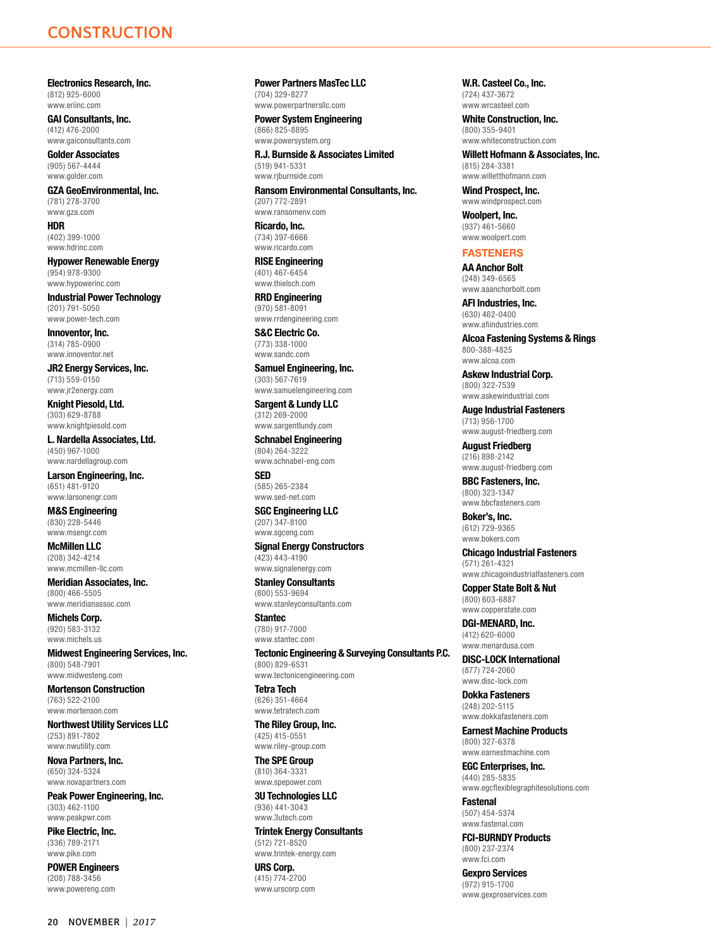**Electronics Research, Inc.** (812) 925-6000 [www.eriinc.com](http://www.eriinc.com)

**GAI Consultants, Inc.** (412) 476-2000 [www.gaiconsultants.com](http://www.gaiconsultants.com)

**Golder Associates** (905) 567-4444 [www.golder.com](http://www.golder.com)

**GZA GeoEnvironmental, Inc.** (781) 278-3700 [www.gza.com](http://www.gza.com)

**HDR** (402) 399-1000 [www.hdrinc.com](http://www.hdrinc.com)

**Hypower Renewable Energy** (954) 978-9300 [www.hypowerinc.com](http://www.hypowerinc.com)

**Industrial Power Technology** (201) 791-5050 [www.power-tech.com](http://www.power-tech.com)

**Innoventor, Inc.** (314) 785-0900 [www.innoventor.net](http://www.innoventor.net)

**JR2 Energy Services, Inc.** (713) 559-0150 [www.jr2energy.com](http://www.jr2energy.com)

**Knight Piesold, Ltd.** (303) 629-8788 [www.knightpiesold.com](http://www.knightpiesold.com)

**L. Nardella Associates, Ltd.** (450) 967-1000 [www.nardellagroup.com](http://www.nardellagroup.com)

**Larson Engineering, Inc.** (651) 481-9120 [www.larsonengr.com](http://www.larsonengr.com)

**M&S Engineering** (830) 228-5446 [www.msengr.com](http://www.msengr.com)

**McMillen LLC** (208) 342-4214 [www.mcmillen-llc.com](http://www.mcmillen-llc.com)

**Meridian Associates, Inc.** (800) 466-5505 [www.meridianassoc.com](http://www.meridianassoc.com)

**Michels Corp.** (920) 583-3132 [www.michels.us](http://www.michels.us)

**Midwest Engineering Services, Inc.** (800) 548-7901 [www.midwesteng.com](http://www.midwesteng.com)

**Mortenson Construction** (763) 522-2100 [www.mortenson.com](http://www.mortenson.com)

**Northwest Utility Services LLC** (253) 891-7802 [www.nwutility.com](http://www.nwutility.com)

**Nova Partners, Inc.** (650) 324-5324 [www.novapartners.com](http://www.novapartners.com)

**Peak Power Engineering, Inc.** (303) 462-1100 [www.peakpwr.com](http://www.peakpwr.com)

**Pike Electric, Inc.** (336) 789-2171 [www.pike.com](http://www.pike.com)

**POWER Engineers** (208) 788-3456 [www.powereng.com](http://www.powereng.com)

**Power Partners MasTec LLC** (704) 329-8277 [www.powerpartnersllc.com](http://www.powerpartnersllc.com)

**Power System Engineering** (866) 825-8895 [www.powersystem.org](http://www.powersystem.org)

**R.J. Burnside & Associates Limited** (519) 941-5331 [www.rjburnside.com](http://www.rjburnside.com)

**Ransom Environmental Consultants, Inc.** (207) 772-2891 www.ransomeny.com

**Ricardo, Inc.** (734) 397-6666 [www.ricardo.com](http://www.ricardo.com)

**RISE Engineering** (401) 467-6454 [www.thielsch.com](http://www.thielsch.com)

**RRD Engineering** (970) 581-8091 [www.rrdengineering.com](http://www.rrdengineering.com)

**S&C Electric Co.** (773) 338-1000 [www.sandc.com](http://www.sandc.com)

**Samuel Engineering, Inc.** (303) 567-7619 [www.samuelengineering.com](http://www.samuelengineering.com)

**Sargent & Lundy LLC** (312) 269-2000 [www.sargentlundy.com](http://www.sargentlundy.com)

**Schnabel Engineering** (804) 264-3222 [www.schnabel-eng.com](http://www.schnabel-eng.com)

**SED** (585) 265-2384 [www.sed-net.com](http://www.sed-net.com)

**SGC Engineering LLC** (207) 347-8100 [www.sgceng.com](http://www.sgceng.com)

**Signal Energy Constructors** (423) 443-4190 [www.signalenergy.com](http://www.signalenergy.com)

**Stanley Consultants** (800) 553-9694 [www.stanleyconsultants.com](http://www.stanleyconsultants.com)

**Stantec** (780) 917-7000 [www.stantec.com](http://www.stantec.com)

**Tectonic Engineering & Surveying Consultants P.C.** (800) 829-6531 [www.tectonicengineering.com](http://www.tectonicengineering.com)

**Tetra Tech** (626) 351-4664 [www.tetratech.com](http://www.tetratech.com)

**The Riley Group, Inc.** (425) 415-0551 [www.riley-group.com](http://www.riley-group.com)

**The SPE Group** (810) 364-3331 [www.spepower.com](http://www.spepower.com)

**3U Technologies LLC** (936) 441-3043 [www.3utech.com](http://www.3utech.com)

**Trintek Energy Consultants** (512) 721-8520 [www.trintek-energy.com](http://www.trintek-energy.com)

**URS Corp.** (415) 774-2700 [www.urscorp.com](http://www.urscorp.com) **W.R. Casteel Co., Inc.** (724) 437-3672 [www.wrcasteel.com](http://www.wrcasteel.com)

**White Construction, Inc.** (800) 355-9401 [www.whiteconstruction.com](http://www.whiteconstruction.com)

**Willett Hofmann & Associates, Inc.** (815) 284-3381 [www.willetthofmann.com](http://www.willetthofmann.com)

**Wind Prospect, Inc.** [www.windprospect.com](http://www.windprospect.com)

**Woolpert, Inc.** (937) 461-5660 [www.woolpert.com](http://www.woolpert.com)

# **FASTENERS**

**AA Anchor Bolt**

(248) 349-6565 [www.aaanchorbolt.com](http://www.aaanchorbolt.com)

**AFI Industries, Inc.** (630) 462-0400 [www.afiindustries.com](http://www.afiindustries.com)

**Alcoa Fastening Systems & Rings** 800-388-4825 [www.alcoa.com](http://www.alcoa.com)

**Askew Industrial Corp.** (800) 322-7539 [www.askewindustrial.com](http://www.askewindustrial.com)

**Auge Industrial Fasteners** (713) 956-1700 [www.august-friedberg.com](http://www.august-friedberg.com)

**August Friedberg** (216) 898-2142 [www.august-friedberg.com](http://www.august-friedberg.com)

**BBC Fasteners, Inc.** (800) 323-1347 [www.bbcfasteners.com](http://www.bbcfasteners.com)

**Boker's, Inc.** (612) 729-9365 [www.bokers.com](http://www.bokers.com)

**Chicago Industrial Fasteners** (571) 261-4321

[www.chicagoindustrialfasteners.com](http://www.chicagoindustrialfasteners.com)

**Copper State Bolt & Nut** (800) 603-6887 [www.copperstate.com](http://www.copperstate.com)

**DGI-MENARD, Inc.** (412) 620-6000

[www.menardusa.com](http://www.menardusa.com) **DISC-LOCK International**

(877) 724-2060 [www.disc-lock.com](http://www.disc-lock.com)

**Dokka Fasteners** (248) 202-5115 [www.dokkafasteners.com](http://www.dokkafasteners.com)

**Earnest Machine Products** (800) 327-6378

[www.earnestmachine.com](http://www.earnestmachine.com) **EGC Enterprises, Inc.** (440) 285-5835

[www.egcflexiblegraphitesolutions.com](http://www.egcflexiblegraphitesolutions.com) **Fastenal**

(507) 454-5374 [www.fastenal.com](http://www.fastenal.com)

**FCI-BURNDY Products** (800) 237-2374 [www.fci.com](http://www.fci.com)

**Gexpro Services** (972) 915-1700 [www.gexproservices.com](http://www.gexproservices.com)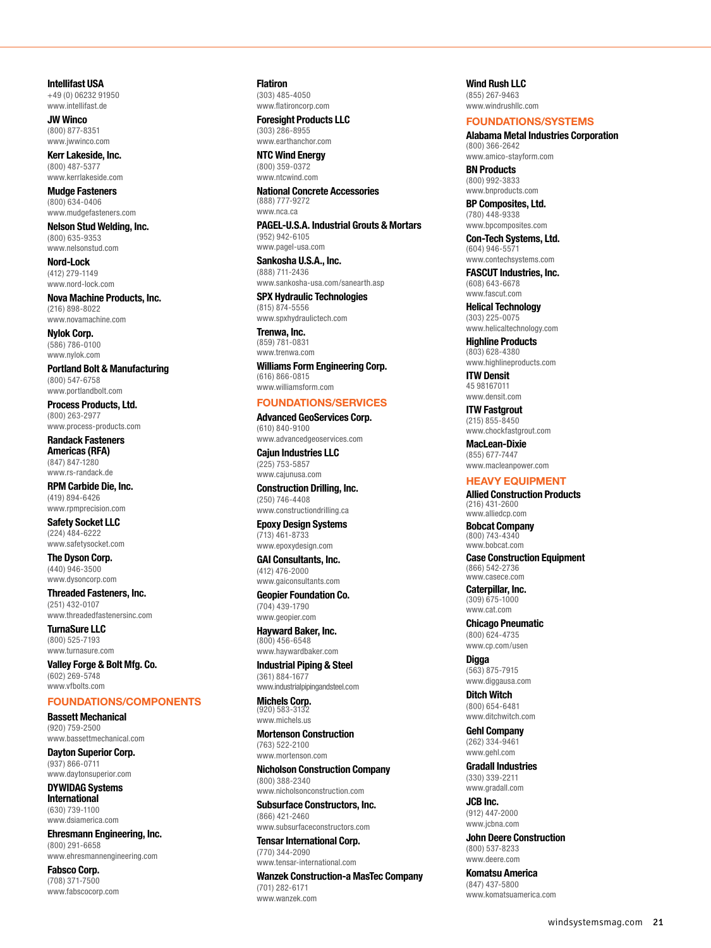<span id="page-7-0"></span>**Intellifast USA** +49 (0) 06232 91950 [www.intellifast.de](http://www.intellifast.de)

**JW Winco** (800) 877-8351 [www.jwwinco.com](http://www.jwwinco.com)

**Kerr Lakeside, Inc.** (800) 487-5377 [www.kerrlakeside.com](http://www.kerrlakeside.com)

**Mudge Fasteners** (800) 634-0406 [www.mudgefasteners.com](http://www.mudgefasteners.com)

**Nelson Stud Welding, Inc.** (800) 635-9353 [www.nelsonstud.com](http://www.nelsonstud.com)

**Nord-Lock** (412) 279-1149 [www.nord-lock.com](http://www.nord-lock.com)

**Nova Machine Products, Inc.** (216) 898-8022 [www.novamachine.com](http://www.novamachine.com)

**Nylok Corp.** (586) 786-0100 [www.nylok.com](http://www.nylok.com)

**Portland Bolt & Manufacturing** (800) 547-6758 [www.portlandbolt.com](http://www.portlandbolt.com)

**Process Products, Ltd.** (800) 263-2977 [www.process-products.com](http://www.process-products.com)

**Randack Fasteners Americas (RFA)** (847) 847-1280 [www.rs-randack.de](http://www.rs-randack.de)

**RPM Carbide Die, Inc.** (419) 894-6426 [www.rpmprecision.com](http://www.rpmprecision.com)

**Safety Socket LLC** (224) 484-6222 [www.safetysocket.com](http://www.safetysocket.com)

**The Dyson Corp.** (440) 946-3500 [www.dysoncorp.com](http://www.dysoncorp.com)

**Threaded Fasteners, Inc.** (251) 432-0107 [www.threadedfastenersinc.com](http://www.threadedfastenersinc.com)

**TurnaSure LLC** (800) 525-7193 [www.turnasure.com](http://www.turnasure.com)

**Valley Forge & Bolt Mfg. Co.** (602) 269-5748 [www.vfbolts.com](http://www.vfbolts.com)

# **FOUNDATIONS/COMPONENTS**

**Bassett Mechanical** (920) 759-2500 [www.bassettmechanical.com](http://www.bassettmechanical.com)

**Dayton Superior Corp.** (937) 866-0711 [www.daytonsuperior.com](http://www.daytonsuperior.com)

**DYWIDAG Systems International** (630) 739-1100 [www.dsiamerica.com](http://www.dsiamerica.com)

**Ehresmann Engineering, Inc.** (800) 291-6658 [www.ehresmannengineering.com](http://www.ehresmannengineering.com)

**Fabsco Corp.** (708) 371-7500 [www.fabscocorp.com](http://www.fabscocorp.com) **Flatiron** (303) 485-4050 [www.flatironcorp.com](http://www.flatironcorp.com)

**Foresight Products LLC** (303) 286-8955 [www.earthanchor.com](http://www.earthanchor.com)

**NTC Wind Energy** (800) 359-0372 [www.ntcwind.com](http://www.ntcwind.com)

**National Concrete Accessories** (888) 777-9272 [www.nca.ca](http://www.nca.ca)

**PAGEL-U.S.A. Industrial Grouts & Mortars** (952) 942-6105 [www.pagel-usa.com](http://www.pagel-usa.com)

**Sankosha U.S.A., Inc.** (888) 711-2436 [www.sankosha-usa.com/sanearth.asp](http://www.sankosha-usa.com/sanearth.asp)

**SPX Hydraulic Technologies** (815) 874-5556 [www.spxhydraulictech.com](http://www.spxhydraulictech.com)

**Trenwa, Inc.** (859) 781-0831 [www.trenwa.com](http://www.trenwa.com)

**Williams Form Engineering Corp.** (616) 866-0815 [www.williamsform.com](http://www.williamsform.com)

# **FOUNDATIONS/SERVICES**

**Advanced GeoServices Corp.** (610) 840-9100 [www.advancedgeoservices.com](http://www.advancedgeoservices.com)

**Cajun Industries LLC** (225) 753-5857 [www.cajunusa.com](http://www.cajunusa.com)

**Construction Drilling, Inc.** (250) 746-4408 [www.constructiondrilling.ca](http://www.constructiondrilling.ca)

**Epoxy Design Systems** (713) 461-8733 [www.epoxydesign.com](http://www.epoxydesign.com)

**GAI Consultants, Inc.** (412) 476-2000 [www.gaiconsultants.com](http://www.gaiconsultants.com)

**Geopier Foundation Co.** (704) 439-1790 [www.geopier.com](http://www.geopier.com)

**Hayward Baker, Inc.** (800) 456-6548 [www.haywardbaker.com](http://www.haywardbaker.com)

**Industrial Piping & Steel** (361) 884-1677 [www.industrialpipingandsteel.com](http://www.industrialpipingandsteel.com)

**Michels Corp.** (920) 583-31 [www.michels.us](http://www.michels.us)

**Mortenson Construction** (763) 522-2100 [www.mortenson.com](http://www.mortenson.com)

**Nicholson Construction Company** (800) 388-2340 [www.nicholsonconstruction.com](http://www.nicholsonconstruction.com)

**Subsurface Constructors, Inc.** (866) 421-2460 [www.subsurfaceconstructors.com](http://www.subsurfaceconstructors.com)

**Tensar International Corp.** (770) 344-2090

[www.tensar-international.com](http://www.tensar-international.com) **Wanzek Construction-a MasTec Company** (701) 282-6171 [www.wanzek.com](http://www.wanzek.com)

**Wind Rush LLC** (855) 267-9463 [www.windrushllc.com](http://www.windrushllc.com)

# **FOUNDATIONS/SYSTEMS**

**Alabama Metal Industries Corporation** (800) 366-2642 [www.amico-stayform.com](http://www.amico-stayform.com)

**BN Products** (800) 992-3833 [www.bnproducts.com](http://www.bnproducts.com)

**BP Composites, Ltd.** (780) 448-9338 [www.bpcomposites.com](http://www.bpcomposites.com)

**Con-Tech Systems, Ltd.** (604) 946-5571 [www.contechsystems.com](http://www.contechsystems.com)

**FASCUT Industries, Inc.** (608) 643-6678 [www.fascut.com](http://www.fascut.com)

**Helical Technology** (303) 225-0075 [www.helicaltechnology.com](http://www.helicaltechnology.com)

**Highline Products** (803) 628-4380 [www.highlineproducts.com](http://www.highlineproducts.com)

**ITW Densit** 45 98167011 [www.densit.com](http://www.densit.com)

**ITW Fastgrout** (215) 855-8450

[www.chockfastgrout.com](http://www.chockfastgrout.com)

**MacLean-Dixie** (855) 677-7447 [www.macleanpower.com](http://www.macleanpower.com)

# **HEAVY EQUIPMENT**

**Allied Construction Products** (216) 431-2600 [www.alliedcp.com](http://www.alliedcp.com)

**Bobcat Company** (800) 743-4340 [www.bobcat.com](http://www.bobcat.com)

**Case Construction Equipment** (866) 542-2736 [www.casece.com](http://www.casece.com)

**Caterpillar, Inc.** (309) 675-1000 [www.cat.com](http://www.cat.com)

**Chicago Pneumatic** (800) 624-4735 [www.cp.com/usen](http://www.cp.com/usen)

**Digga** (563) 875-7915 [www.diggausa.com](http://www.diggausa.com)

**Ditch Witch** (800) 654-6481 [www.ditchwitch.com](http://www.ditchwitch.com)

**Gehl Company** (262) 334-9461 [www.gehl.com](http://www.gehl.com)

**Gradall Industries** (330) 339-2211

[www.gradall.com](http://www.gradall.com) **JCB Inc.** (912) 447-2000 [www.jcbna.com](http://www.jcbna.com)

**John Deere Construction** (800) 537-8233 [www.deere.com](http://www.deere.com)

**Komatsu America** (847) 437-5800 [www.komatsuamerica.com](http://www.komatsuamerica.com)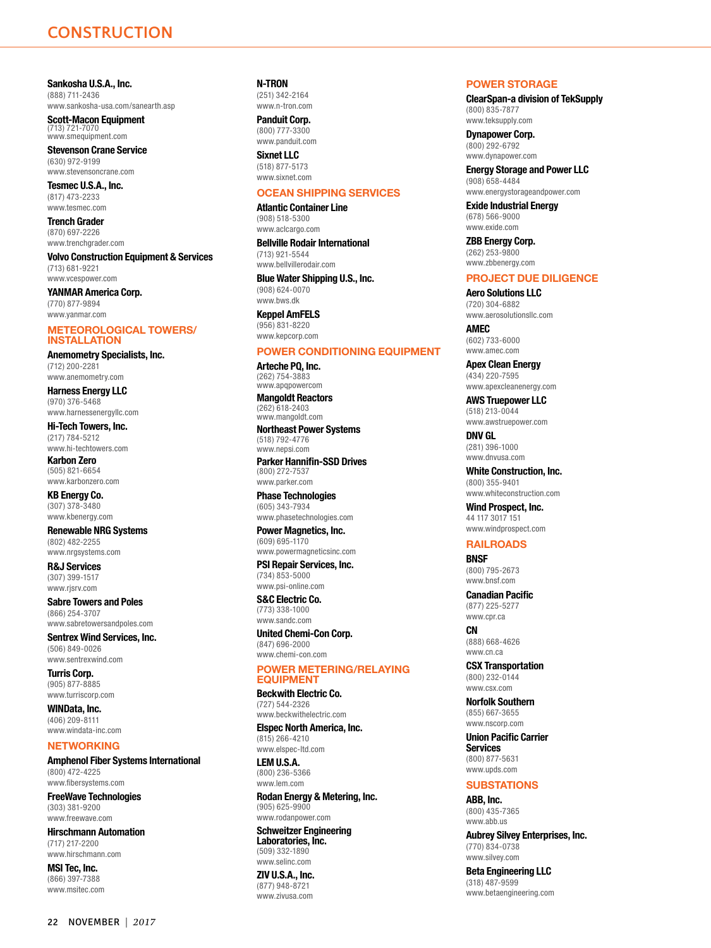<span id="page-8-0"></span>**Sankosha U.S.A., Inc.** (888) 711-2436 [www.sankosha-usa.com/sanearth.asp](http://www.sankosha-usa.com/sanearth.asp)

**Scott-Macon Equipment** (713) 721-7070 [www.smequipment.com](http://www.smequipment.com)

**Stevenson Crane Service** (630) 972-9199 [www.stevensoncrane.com](http://www.stevensoncrane.com)

**Tesmec U.S.A., Inc.** (817) 473-2233 [www.tesmec.com](http://www.tesmec.com)

**Trench Grader** (870) 697-2226 [www.trenchgrader.com](http://www.trenchgrader.com)

**Volvo Construction Equipment & Services** (713) 681-9221 [www.vcespower.com](http://www.vcespower.com)

**YANMAR America Corp.** (770) 877-9894 [www.yanmar.com](http://www.yanmar.com)

### **METEOROLOGICAL TOWERS/ INSTALLATION**

**Anemometry Specialists, Inc.**  $(712)$  200-228 [www.anemometry.com](http://www.anemometry.com)

**Harness Energy LLC** (970) 376-5468 [www.harnessenergyllc.com](http://www.harnessenergyllc.com)

**Hi-Tech Towers, Inc.** (217) 784-5212 [www.hi-techtowers.com](http://www.hi-techtowers.com)

**Karbon Zero** (505) 821-6654 [www.karbonzero.com](http://www.karbonzero.com)

**KB Energy Co.** (307) 378-3480 [www.kbenergy.com](http://www.kbenergy.com)

**Renewable NRG Systems** (802) 482-2255 [www.nrgsystems.com](http://www.nrgsystems.com)

**R&J Services** (307) 399-1517 [www.rjsrv.com](http://www.rjsrv.com)

**Sabre Towers and Poles** (866) 254-3707 [www.sabretowersandpoles.com](http://www.sabretowersandpoles.com)

**Sentrex Wind Services, Inc.** (506) 849-0026 [www.sentrexwind.com](http://www.sentrexwind.com)

**Turris Corp.** (905) 877-8885 [www.turriscorp.com](http://www.turriscorp.com)

**WINData, Inc.** (406) 209-8111 [www.windata-inc.com](http://www.windata-inc.com)

## **NETWORKING**

**Amphenol Fiber Systems International** (800) 472-4225 [www.fibersystems.com](http://www.fibersystems.com)

**FreeWave Technologies** (303) 381-9200 [www.freewave.com](http://www.freewave.com)

**Hirschmann Automation** (717) 217-2200 [www.hirschmann.com](http://www.hirschmann.com)

**MSI Tec, Inc.** (866) 397-7388 [www.msitec.com](http://www.msitec.com) **N-TRON** (251) 342-2164 [www.n-tron.com](http://www.n-tron.com)

**Panduit Corp.** (800) 777-3300 [www.panduit.com](http://www.panduit.com)

**Sixnet LLC** (518) 877-5173 [www.sixnet.com](http://www.sixnet.com)

# **OCEAN SHIPPING SERVICES**

**Atlantic Container Line** (908) 518-5300 [www.aclcargo.com](http://www.aclcargo.com)

**Bellville Rodair International** (713) 921-5544 [www.bellvillerodair.com](http://www.bellvillerodair.com)

**Blue Water Shipping U.S., Inc.** (908) 624-0070 [www.bws.dk](http://www.bws.dk)

**Keppel AmFELS** (956) 831-8220 [www.kepcorp.com](http://www.kepcorp.com)

# **POWER CONDITIONING EQUIPMENT**

**Arteche PQ, Inc.** (262) 754-3883 [www.apqpowercom](http://www.apqpowercom)

**Mangoldt Reactors** (262) 618-2403 [www.mangoldt.com](http://www.mangoldt.com)

**Northeast Power Systems** (518) 792-4776 [www.nepsi.com](http://www.nepsi.com)

**Parker Hannifin-SSD Drives** (800) 272-7537 [www.parker.com](http://www.parker.com)

**Phase Technologies** (605) 343-7934 [www.phasetechnologies.com](http://www.phasetechnologies.com)

**Power Magnetics, Inc.** (609) 695-1170

[www.powermagneticsinc.com](http://www.powermagneticsinc.com) **PSI Repair Services, Inc.** (734) 853-5000 [www.psi-online.com](http://www.psi-online.com)

**S&C Electric Co.** (773) 338-1000 [www.sandc.com](http://www.sandc.com)

**United Chemi-Con Corp.** (847) 696-2000 [www.chemi-con.com](http://www.chemi-con.com)

# **POWER METERING/RELAYING EQUIPMENT**

**Beckwith Electric Co.** (727) 544-2326 [www.beckwithelectric.com](http://www.beckwithelectric.com)

**Elspec North America, Inc.** (815) 266-4210

[www.elspec-ltd.com](http://www.elspec-ltd.com) **LEM U.S.A.** (800) 236-5366 [www.lem.com](http://www.lem.com)

**Rodan Energy & Metering, Inc.** (905) 625-9900 [www.rodanpower.com](http://www.rodanpower.com)

**Schweitzer Engineering Laboratories, Inc.** (509) 332-1890 [www.selinc.com](http://www.selinc.com)

**ZIV U.S.A., Inc.** (877) 948-8721 [www.zivusa.com](http://www.zivusa.com)

## **POWER STORAGE**

**ClearSpan-a division of TekSupply** (800) 835-7877 [www.teksupply.com](http://www.teksupply.com)

**Dynapower Corp.** (800) 292-6792 [www.dynapower.com](http://www.dynapower.com)

**Energy Storage and Power LLC** (908) 658-4484 [www.energystorageandpower.com](http://www.energystorageandpower.com)

**Exide Industrial Energy** (678) 566-9000 [www.exide.com](http://www.exide.com)

**ZBB Energy Corp.** (262) 253-9800 [www.zbbenergy.com](http://www.zbbenergy.com)

# **PROJECT DUE DILIGENCE**

**Aero Solutions LLC** (720) 304-6882 [www.aerosolutionsllc.com](http://www.aerosolutionsllc.com) **AMEC**

(602) 733-6000 [www.amec.com](http://www.amec.com)

**Apex Clean Energy** (434) 220-7595 [www.apexcleanenergy.com](http://www.apexcleanenergy.com)

**AWS Truepower LLC** (518) 213-0044 [www.awstruepower.com](http://www.awstruepower.com)

**DNV GL** (281) 396-1000 [www.dnvusa.com](http://www.dnvusa.com)

**White Construction, Inc.** (800) 355-9401 [www.whiteconstruction.com](http://www.whiteconstruction.com)

**Wind Prospect, Inc.** 44 117 3017 151 [www.windprospect.com](http://www.windprospect.com)

# **RAILROADS**

**BNSF** (800) 795-2673 [www.bnsf.com](http://www.bnsf.com)

**Canadian Pacific** (877) 225-5277 [www.cpr.ca](http://www.cpr.ca)

**CN** (888) 668-4626 [www.cn.ca](http://www.cn.ca)

**CSX Transportation** (800) 232-0144 [www.csx.com](http://www.csx.com)

**Norfolk Southern** (855) 667-3655 [www.nscorp.com](http://www.nscorp.com)

**Union Pacific Carrier Services** (800) 877-5631 [www.upds.com](http://www.upds.com)

### **SUBSTATIONS**

**ABB, Inc.** (800) 435-7365 [www.abb.us](http://www.abb.us)

**Aubrey Silvey Enterprises, Inc.** (770) 834-0738 [www.silvey.com](http://www.silvey.com)

**Beta Engineering LLC** (318) 487-9599 [www.betaengineering.com](http://www.betaengineering.com)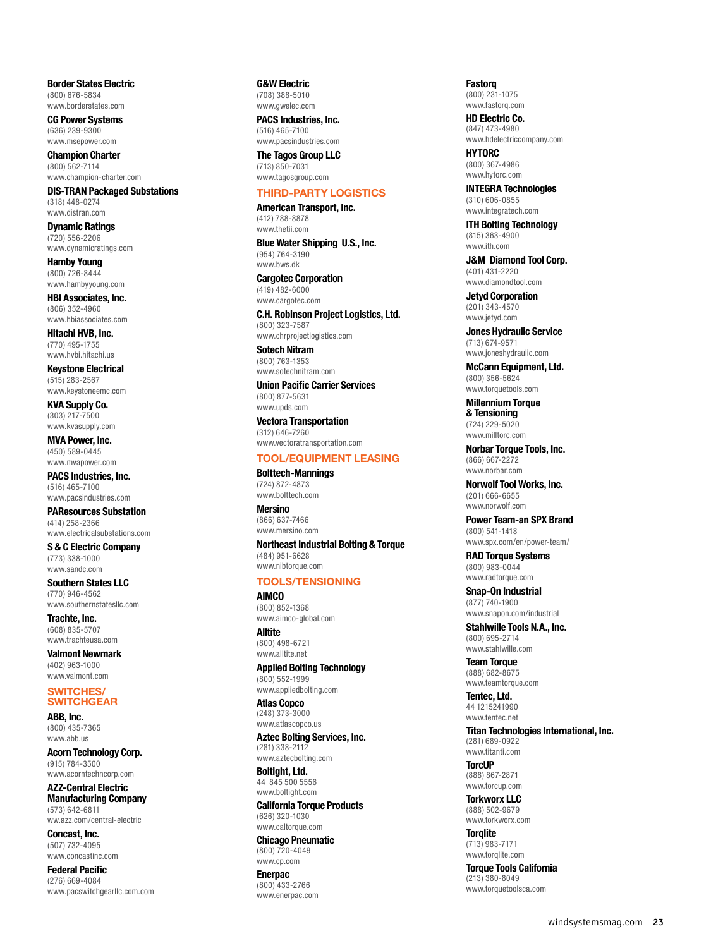<span id="page-9-0"></span>**Border States Electric** (800) 676-5834 [www.borderstates.com](http://www.borderstates.com)

**CG Power Systems** (636) 239-9300 [www.msepower.com](http://www.msepower.com)

**Champion Charter** (800) 562-7114 [www.champion-charter.com](http://www.champion-charter.com)

**DIS-TRAN Packaged Substations** (318) 448-0274 [www.distran.com](http://www.distran.com)

**Dynamic Ratings** (720) 556-2206 [www.dynamicratings.com](http://www.dynamicratings.com)

**Hamby Young** (800) 726-8444 [www.hambyyoung.com](http://www.hambyyoung.com)

**HBI Associates, Inc.** (806) 352-4960 [www.hbiassociates.com](http://www.hbiassociates.com)

**Hitachi HVB, Inc.** (770) 495-1755

www.hvhi.hitachi.us

**Keystone Electrical** (515) 283-2567 [www.keystoneemc.com](http://www.keystoneemc.com)

**KVA Supply Co.** (303) 217-7500 [www.kvasupply.com](http://www.kvasupply.com)

**MVA Power, Inc.** (450) 589-0445 [www.mvapower.com](http://www.mvapower.com)

**PACS Industries, Inc.** (516) 465-7100 [www.pacsindustries.com](http://www.pacsindustries.com)

**PAResources Substation** (414) 258-2366 [www.electricalsubstations.com](http://www.electricalsubstations.com)

**S & C Electric Company** (773) 338-1000 [www.sandc.com](http://www.sandc.com)

**Southern States LLC** (770) 946-4562 [www.southernstatesllc.com](http://www.southernstatesllc.com)

**Trachte, Inc.** (608) 835-5707 [www.trachteusa.com](http://www.trachteusa.com)

**Valmont Newmark** (402) 963-1000 [www.valmont.com](http://www.valmont.com)

# **SWITCHES/ SWITCHGEAR**

**ABB, Inc.** (800) 435-7365 [www.abb.us](http://www.abb.us)

**Acorn Technology Corp.** (915) 784-3500 [www.acorntechncorp.com](http://www.acorntechncorp.com)

**AZZ-Central Electric Manufacturing Company** (573) 642-6811

ww.azz.com/central-electric **Concast, Inc.**

(507) 732-4095 [www.concastinc.com](http://www.concastinc.com)

**Federal Pacific** (276) 669-4084 [www.pacswitchgearllc.com.com](http://www.pacswitchgearllc.com.com) **G&W Electric** (708) 388-5010 [www.gwelec.com](http://www.gwelec.com)

**PACS Industries, Inc.** (516) 465-7100 [www.pacsindustries.com](http://www.pacsindustries.com)

**The Tagos Group LLC** (713) 850-7031 [www.tagosgroup.com](http://www.tagosgroup.com)

# **THIRD-PARTY LOGISTICS**

**American Transport, Inc.** (412) 788-8878 [www.thetii.com](http://www.thetii.com)

**Blue Water Shipping U.S., Inc.** (954) 764-3190 [www.bws.dk](http://www.bws.dk)

**Cargotec Corporation** (419) 482-6000 [www.cargotec.com](http://www.cargotec.com)

**C.H. Robinson Project Logistics, Ltd.** (800) 323-7587 [www.chrprojectlogistics.com](http://www.chrprojectlogistics.com)

**Sotech Nitram** (800) 763-1353 [www.sotechnitram.com](http://www.sotechnitram.com)

**Union Pacific Carrier Services** (800) 877-5631 [www.upds.com](http://www.upds.com)

**Vectora Transportation** (312) 646-7260 [www.vectoratransportation.com](http://www.vectoratransportation.com)

# **TOOL/EQUIPMENT LEASING**

**Bolttech-Mannings** (724) 872-4873 [www.bolttech.com](http://www.bolttech.com)

**Mersino** (866) 637-7466 [www.mersino.com](http://www.mersino.com)

**Northeast Industrial Bolting & Torque** (484) 951-6628

[www.nibtorque.com](http://www.nibtorque.com)

# **TOOLS/TENSIONING**

**AIMCO** (800) 852-1368 [www.aimco-global.com](http://www.aimco-global.com)

**Alltite** (800) 498-6721 [www.alltite.net](http://www.alltite.net)

**Applied Bolting Technology** (800) 552-1999 [www.appliedbolting.com](http://www.appliedbolting.com)

**Atlas Copco** (248) 373-3000 [www.atlascopco.us](http://www.atlascopco.us)

**Aztec Bolting Services, Inc.** (281) 338-2112 [www.aztecbolting.com](http://www.aztecbolting.com)

**Boltight, Ltd.** 44 845 500 5556 [www.boltight.com](http://www.boltight.com)

**California Torque Products** (626) 320-1030 [www.caltorque.com](http://www.caltorque.com)

**Chicago Pneumatic** (800) 720-4049 [www.cp.com](http://www.cp.com)

**Enerpac** (800) 433-2766 [www.enerpac.com](http://www.enerpac.com)

**Fastorq** (800) 231-1075 [www.fastorq.com](http://www.fastorq.com)

**HD Electric Co.** (847) 473-4980 [www.hdelectriccompany.com](http://www.hdelectriccompany.com)

**HYTORC** (800) 367-4986 [www.hytorc.com](http://www.hytorc.com)

**INTEGRA Technologies** (310) 606-0855 [www.integratech.com](http://www.integratech.com)

**ITH Bolting Technology** (815) 363-4900 [www.ith.com](http://www.ith.com)

**J&M Diamond Tool Corp.** (401) 431-2220 [www.diamondtool.com](http://www.diamondtool.com)

**Jetyd Corporation** (201) 343-4570 [www.jetyd.com](http://www.jetyd.com)

**Jones Hydraulic Service** (713) 674-9571 [www.joneshydraulic.com](http://www.joneshydraulic.com)

**McCann Equipment, Ltd.** (800) 356-5624 [www.torquetools.com](http://www.torquetools.com)

**Millennium Torque & Tensioning** (724) 229-5020 [www.milltorc.com](http://www.milltorc.com)

**Norbar Torque Tools, Inc.** (866) 667-2272 [www.norbar.com](http://www.norbar.com)

**Norwolf Tool Works, Inc.** (201) 666-6655 [www.norwolf.com](http://www.norwolf.com)

**Power Team-an SPX Brand** (800) 541-1418 [www.spx.com/en/power-team/](http://www.spx.com/en/power-team/)

**RAD Torque Systems**

(800) 983-0044 [www.radtorque.com](http://www.radtorque.com)

**Snap-On Industrial** (877) 740-1900 [www.snapon.com/industrial](http://www.snapon.com/industrial)

**Stahlwille Tools N.A., Inc.** (800) 695-2714 [www.stahlwille.com](http://www.stahlwille.com)

**Team Torque** (888) 682-8675 [www.teamtorque.com](http://www.teamtorque.com)

**Tentec, Ltd.** 44 1215241990 [www.tentec.net](http://www.tentec.net)

**Titan Technologies International, Inc.** (281) 689-0922

[www.titanti.com](http://www.titanti.com) **TorcUP**

(888) 867-2871 [www.torcup.com](http://www.torcup.com)

**Torkworx LLC** (888) 502-9679 [www.torkworx.com](http://www.torkworx.com)

**Torqlite** (713) 983-7171 [www.torqlite.com](http://www.torqlite.com)

**Torque Tools California** (213) 380-8049 [www.torquetoolsca.com](http://www.torquetoolsca.com)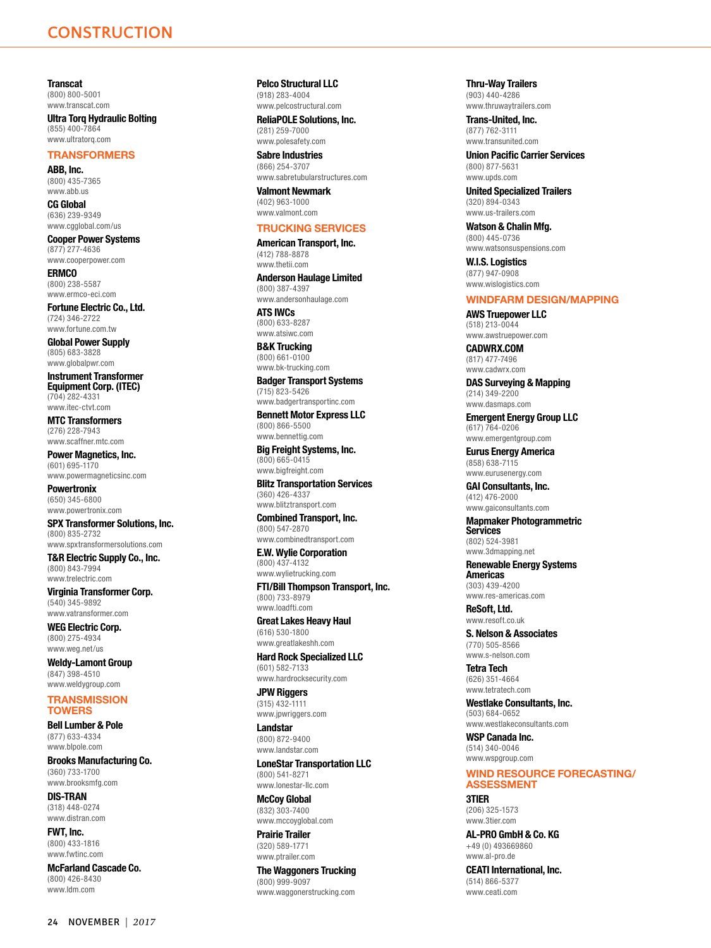<span id="page-10-0"></span>**Transcat** (800) 800-5001 [www.transcat.com](http://www.transcat.com)

**Ultra Torq Hydraulic Bolting** (855) 400-7864 [www.ultratorq.com](http://www.ultratorq.com)

# **TRANSFORMERS**

**ABB, Inc.** (800) 435-7365 [www.abb.us](http://www.abb.us)

**CG Global** (636) 239-9349 [www.cgglobal.com/us](http://www.cgglobal.com/us)

**Cooper Power Systems** (877) 277-4636 [www.cooperpower.com](http://www.cooperpower.com)

**ERMCO** (800) 238-5587 [www.ermco-eci.com](http://www.ermco-eci.com)

**Fortune Electric Co., Ltd.** (724) 346-2722 [www.fortune.com.tw](http://www.fortune.com.tw)

**Global Power Supply** (805) 683-3828 [www.globalpwr.com](http://www.globalpwr.com)

**Instrument Transformer Equipment Corp. (ITEC)** (704) 282-4331 [www.itec-ctvt.com](http://www.itec-ctvt.com)

**MTC Transformers** (276) 228-7943 [www.scaffner.mtc.com](http://www.scaffner.mtc.com)

**Power Magnetics, Inc.** (601) 695-1170

[www.powermagneticsinc.com](http://www.powermagneticsinc.com) **Powertronix** (650) 345-6800 [www.powertronix.com](http://www.powertronix.com)

**SPX Transformer Solutions, Inc.** (800) 835-2732 [www.spxtransformersolutions.com](http://www.spxtransformersolutions.com)

**T&R Electric Supply Co., Inc.** (800) 843-7994 [www.trelectric.com](http://www.trelectric.com)

**Virginia Transformer Corp.** (540) 345-9892 [www.vatransformer.com](http://www.vatransformer.com)

**WEG Electric Corp.** (800) 275-4934 [www.weg.net/us](http://www.weg.net/us)

**Weldy-Lamont Group** (847) 398-4510 [www.weldygroup.com](http://www.weldygroup.com)

### **TRANSMISSION TOWERS**

**Bell Lumber & Pole** (877) 633-4334 [www.blpole.com](http://www.blpole.com)

**Brooks Manufacturing Co.** (360) 733-1700 [www.brooksmfg.com](http://www.brooksmfg.com)

**DIS-TRAN** (318) 448-0274 [www.distran.com](http://www.distran.com)

**FWT, Inc.** (800) 433-1816 [www.fwtinc.com](http://www.fwtinc.com)

**McFarland Cascade Co.** (800) 426-8430 [www.ldm.com](http://www.ldm.com)

**Pelco Structural LLC**

(918) 283-4004 [www.pelcostructural.com](http://www.pelcostructural.com)

**ReliaPOLE Solutions, Inc.** (281) 259-7000 [www.polesafety.com](http://www.polesafety.com)

**Sabre Industries** (866) 254-3707 [www.sabretubularstructures.com](http://www.sabretubularstructures.com)

**Valmont Newmark** (402) 963-1000 [www.valmont.com](http://www.valmont.com)

# **TRUCKING SERVICES**

**American Transport, Inc.** (412) 788-8878 [www.thetii.com](http://www.thetii.com)

**Anderson Haulage Limited** (800) 387-4397 [www.andersonhaulage.com](http://www.andersonhaulage.com)

**ATS IWCs** (800) 633-8287 [www.atsiwc.com](http://www.atsiwc.com)

**B&K Trucking** (800) 661-0100 [www.bk-trucking.com](http://www.bk-trucking.com)

**Badger Transport Systems** (715) 823-5426 [www.badgertransportinc.com](http://www.badgertransportinc.com)

**Bennett Motor Express LLC** (800) 866-5500 [www.bennettig.com](http://www.bennettig.com)

**Big Freight Systems, Inc.** (800) 665-0415 [www.bigfreight.com](http://www.bigfreight.com)

**Blitz Transportation Services** (360) 426-4337 [www.blitztransport.com](http://www.blitztransport.com)

**Combined Transport, Inc.** (800) 547-2870 [www.combinedtransport.com](http://www.combinedtransport.com)

**E.W. Wylie Corporation** (800) 437-4132 [www.wylietrucking.com](http://www.wylietrucking.com)

**FTI/Bill Thompson Transport, Inc.** (800) 733-8979 [www.loadfti.com](http://www.loadfti.com)

**Great Lakes Heavy Haul** (616) 530-1800 [www.greatlakeshh.com](http://www.greatlakeshh.com)

**Hard Rock Specialized LLC** (601) 582-7133 [www.hardrocksecurity.com](http://www.hardrocksecurity.com)

**JPW Riggers** (315) 432-1111 [www.jpwriggers.com](http://www.jpwriggers.com)

**Landstar** (800) 872-9400 [www.landstar.com](http://www.landstar.com)

**LoneStar Transportation LLC** (800) 541-8271 [www.lonestar-llc.com](http://www.lonestar-llc.com)

**McCoy Global** (832) 303-7400 [www.mccoyglobal.com](http://www.mccoyglobal.com)

**Prairie Trailer** (320) 589-1771 [www.ptrailer.com](http://www.ptrailer.com)

**The Waggoners Trucking** (800) 999-9097 [www.waggonerstrucking.com](http://www.waggonerstrucking.com)

**Thru-Way Trailers** (903) 440-4286 [www.thruwaytrailers.com](http://www.thruwaytrailers.com)

**Trans-United, Inc.** (877) 762-3111 [www.transunited.com](http://www.transunited.com)

**Union Pacific Carrier Services** (800) 877-5631 [www.upds.com](http://www.upds.com)

**United Specialized Trailers** (320) 894-0343 [www.us-trailers.com](http://www.us-trailers.com)

**Watson & Chalin Mfg.** (800) 445-0736 [www.watsonsuspensions.com](http://www.watsonsuspensions.com)

**W.I.S. Logistics** (877) 947-0908 [www.wislogistics.com](http://www.wislogistics.com)

# **WINDFARM DESIGN/MAPPING**

**AWS Truepower LLC** (518) 213-0044 [www.awstruepower.com](http://www.awstruepower.com)

**CADWRX.COM** (817) 477-7496 [www.cadwrx.com](http://www.cadwrx.com)

**DAS Surveying & Mapping** (214) 349-2200 [www.dasmaps.com](http://www.dasmaps.com)

**Emergent Energy Group LLC** (617) 764-0206 [www.emergentgroup.com](http://www.emergentgroup.com)

**Eurus Energy America** (858) 638-7115

[www.eurusenergy.com](http://www.eurusenergy.com) **GAI Consultants, Inc.** (412) 476-2000

[www.gaiconsultants.com](http://www.gaiconsultants.com)

**Mapmaker Photogrammetric Services** (802) 524-3981

[www.3dmapping.net](http://www.3dmapping.net) **Renewable Energy Systems Americas**

(303) 439-4200 [www.res-americas.com](http://www.res-americas.com)

**ReSoft, Ltd.** [www.resoft.co.uk](http://www.resoft.co.uk)

**S. Nelson & Associates** (770) 505-8566 [www.s-nelson.com](http://www.s-nelson.com)

**Tetra Tech** (626) 351-4664 [www.tetratech.com](http://www.tetratech.com)

**Westlake Consultants, Inc.** (503) 684-0652

[www.westlakeconsultants.com](http://www.westlakeconsultants.com)

**WSP Canada Inc.** (514) 340-0046 [www.wspgroup.com](http://www.wspgroup.com)

# **WIND RESOURCE FORECASTING/ ASSESSMENT**

**3TIER** (206) 325-1573 [www.3tier.com](http://www.3tier.com)

**AL-PRO GmbH & Co. KG** +49 (0) 493669860 [www.al-pro.de](http://www.al-pro.de)

**CEATI International, Inc.** (514) 866-5377 [www.ceati.com](http://www.ceati.com)